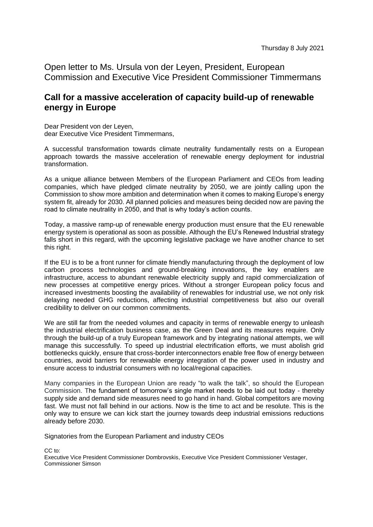Open letter to Ms. Ursula von der Leyen, President, European Commission and Executive Vice President Commissioner Timmermans

## **Call for a massive acceleration of capacity build-up of renewable energy in Europe**

Dear President von der Leyen, dear Executive Vice President Timmermans,

A successful transformation towards climate neutrality fundamentally rests on a European approach towards the massive acceleration of renewable energy deployment for industrial transformation.

As a unique alliance between Members of the European Parliament and CEOs from leading companies, which have pledged climate neutrality by 2050, we are jointly calling upon the Commission to show more ambition and determination when it comes to making Europe's energy system fit, already for 2030. All planned policies and measures being decided now are paving the road to climate neutrality in 2050, and that is why today's action counts.

Today, a massive ramp-up of renewable energy production must ensure that the EU renewable energy system is operational as soon as possible. Although the EU's Renewed Industrial strategy falls short in this regard, with the upcoming legislative package we have another chance to set this right.

If the EU is to be a front runner for climate friendly manufacturing through the deployment of low carbon process technologies and ground-breaking innovations, the key enablers are infrastructure, access to abundant renewable electricity supply and rapid commercialization of new processes at competitive energy prices. Without a stronger European policy focus and increased investments boosting the availability of renewables for industrial use, we not only risk delaying needed GHG reductions, affecting industrial competitiveness but also our overall credibility to deliver on our common commitments.

We are still far from the needed volumes and capacity in terms of renewable energy to unleash the industrial electrification business case, as the Green Deal and its measures require. Only through the build-up of a truly European framework and by integrating national attempts, we will manage this successfully. To speed up industrial electrification efforts, we must abolish grid bottlenecks quickly, ensure that cross-border interconnectors enable free flow of energy between countries, avoid barriers for renewable energy integration of the power used in industry and ensure access to industrial consumers with no local/regional capacities.

Many companies in the European Union are ready "to walk the talk", so should the European Commission. The fundament of tomorrow's single market needs to be laid out today - thereby supply side and demand side measures need to go hand in hand. Global competitors are moving fast. We must not fall behind in our actions. Now is the time to act and be resolute. This is the only way to ensure we can kick start the journey towards deep industrial emissions reductions already before 2030.

Signatories from the European Parliament and industry CEOs

CC to:

Executive Vice President Commissioner Dombrovskis, Executive Vice President Commissioner Vestager, Commissioner Simson